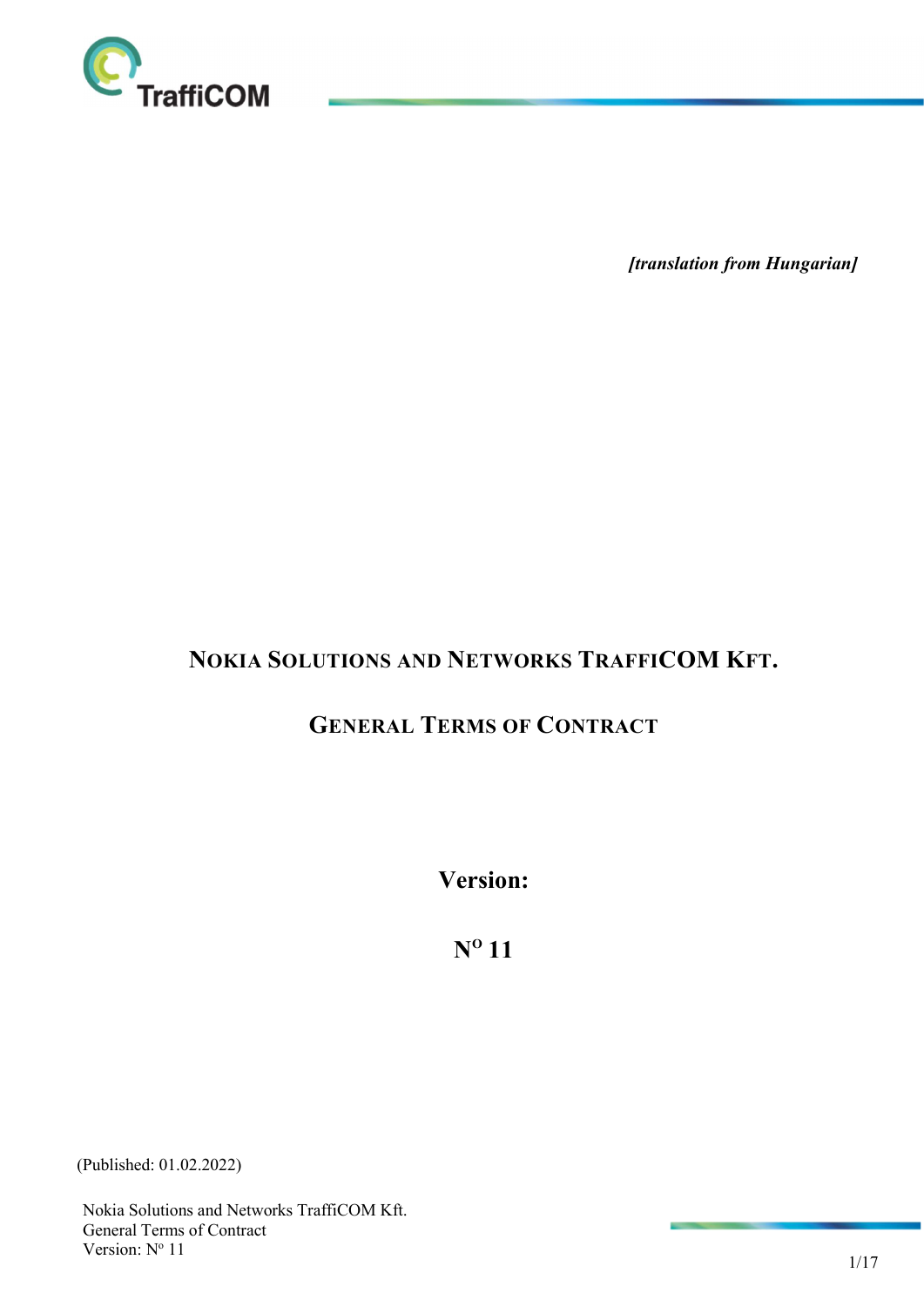

[translation from Hungarian]

# NOKIA SOLUTIONS AND NETWORKS TRAFFICOM KFT.

# GENERAL TERMS OF CONTRACT

Version:

 $N^{\rm o}$  11

(Published: 01.02.2022)

Nokia Solutions and Networks TraffiCOM Kft. General Terms of Contract Version: N° 11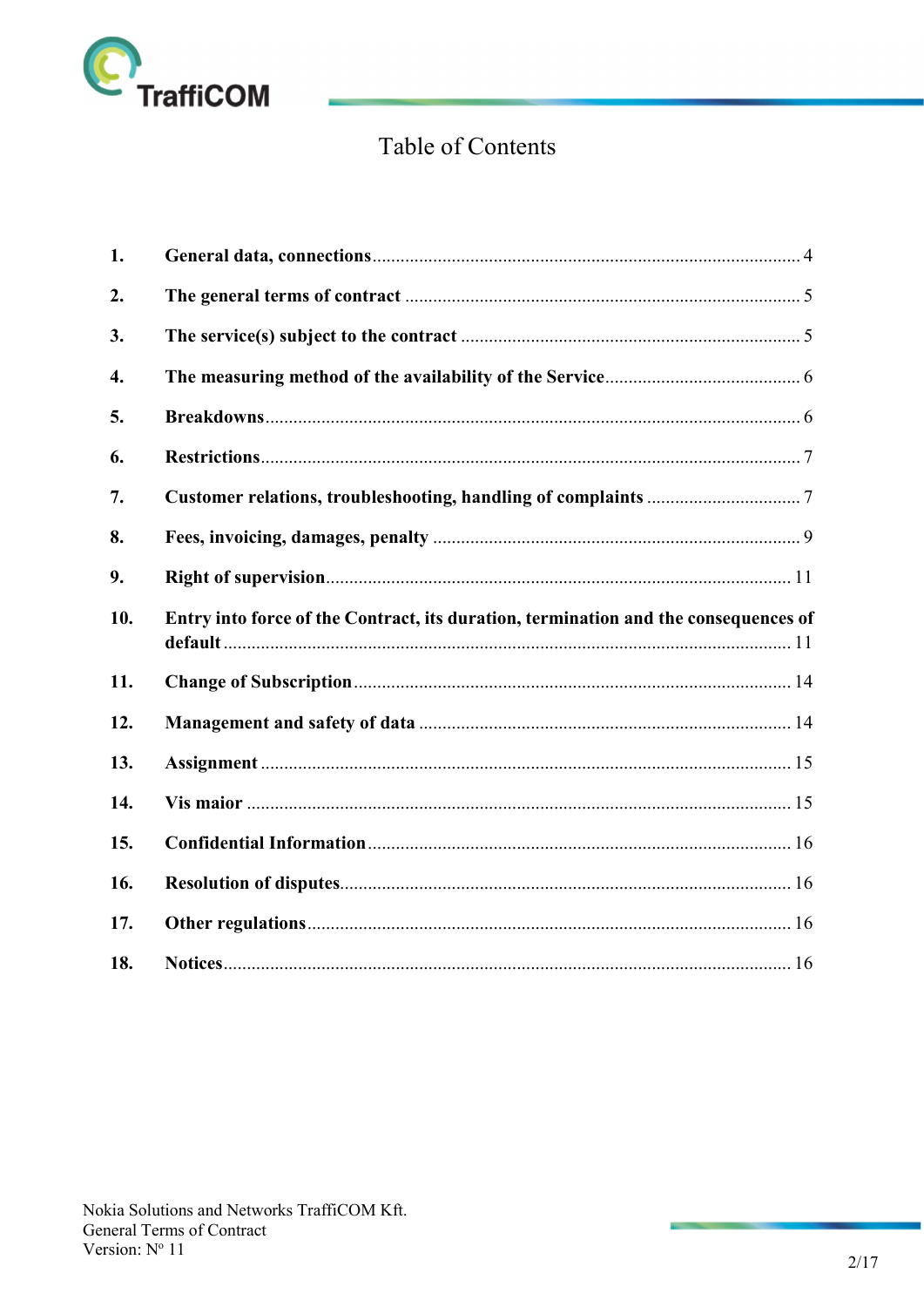

# Table of Contents

| 1.  |                                                                                     |  |
|-----|-------------------------------------------------------------------------------------|--|
| 2.  |                                                                                     |  |
| 3.  |                                                                                     |  |
| 4.  |                                                                                     |  |
| 5.  |                                                                                     |  |
| 6.  |                                                                                     |  |
| 7.  |                                                                                     |  |
| 8.  |                                                                                     |  |
| 9.  |                                                                                     |  |
| 10. | Entry into force of the Contract, its duration, termination and the consequences of |  |
| 11. |                                                                                     |  |
| 12. |                                                                                     |  |
| 13. |                                                                                     |  |
| 14. |                                                                                     |  |
| 15. |                                                                                     |  |
| 16. |                                                                                     |  |
| 17. |                                                                                     |  |
| 18. |                                                                                     |  |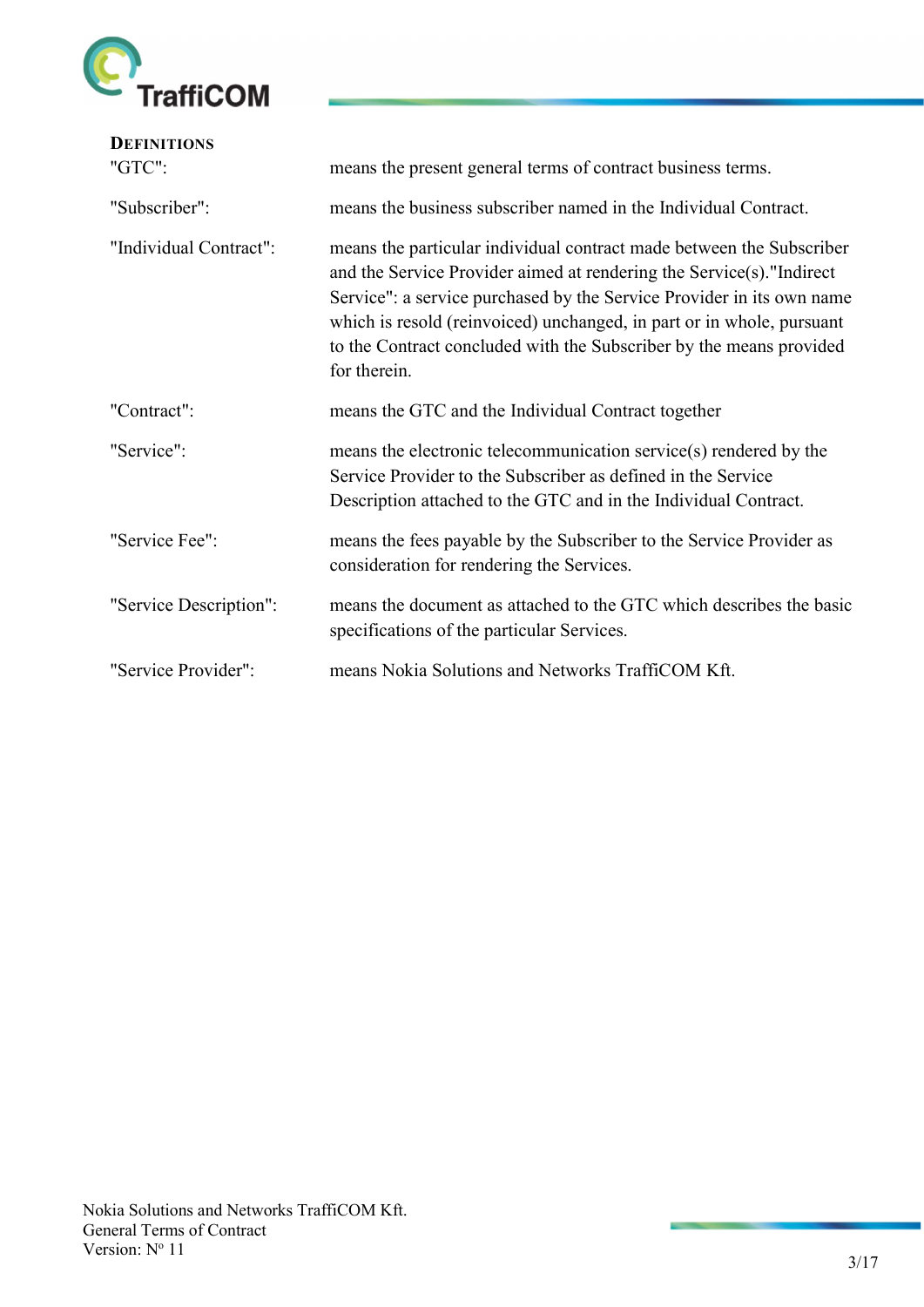

| <b>DEFINITIONS</b><br>"GTC": | means the present general terms of contract business terms.                                                                                                                                                                                                                                                                                                                           |
|------------------------------|---------------------------------------------------------------------------------------------------------------------------------------------------------------------------------------------------------------------------------------------------------------------------------------------------------------------------------------------------------------------------------------|
| "Subscriber":                | means the business subscriber named in the Individual Contract.                                                                                                                                                                                                                                                                                                                       |
| "Individual Contract":       | means the particular individual contract made between the Subscriber<br>and the Service Provider aimed at rendering the Service(s)."Indirect<br>Service": a service purchased by the Service Provider in its own name<br>which is resold (reinvoiced) unchanged, in part or in whole, pursuant<br>to the Contract concluded with the Subscriber by the means provided<br>for therein. |
| "Contract":                  | means the GTC and the Individual Contract together                                                                                                                                                                                                                                                                                                                                    |
| "Service":                   | means the electronic telecommunication service(s) rendered by the<br>Service Provider to the Subscriber as defined in the Service<br>Description attached to the GTC and in the Individual Contract.                                                                                                                                                                                  |
| "Service Fee":               | means the fees payable by the Subscriber to the Service Provider as<br>consideration for rendering the Services.                                                                                                                                                                                                                                                                      |
| "Service Description":       | means the document as attached to the GTC which describes the basic<br>specifications of the particular Services.                                                                                                                                                                                                                                                                     |
| "Service Provider":          | means Nokia Solutions and Networks TraffiCOM Kft.                                                                                                                                                                                                                                                                                                                                     |

**All of the Contract of the Contract of the Contract of the Contract of the Contract of the Contract of the Contract of the Contract of the Contract of The Contract of The Contract of The Contract of The Contract of The Co**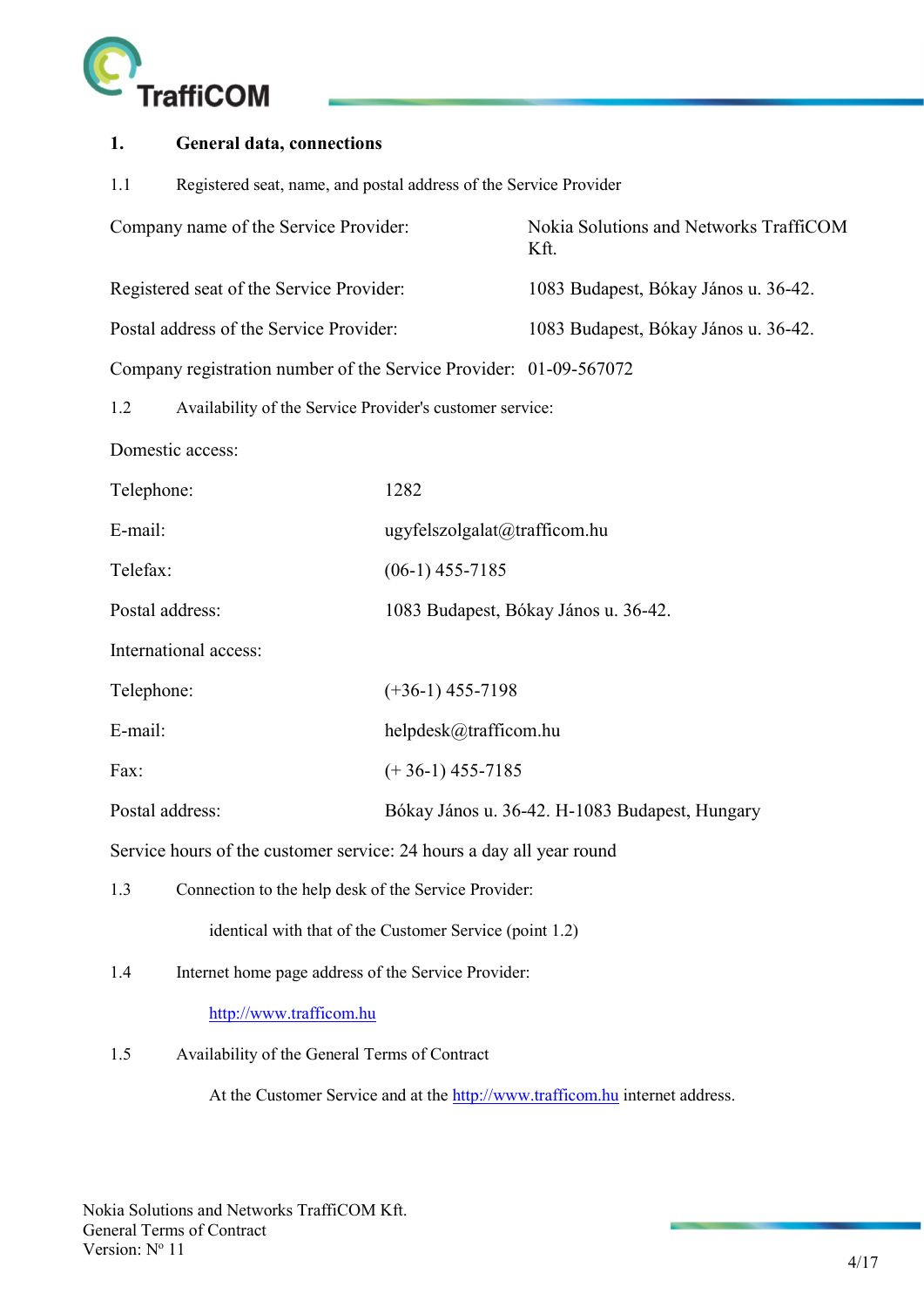

| 1.                                                              | <b>General data, connections</b>                                     |                                                |                                                |  |  |
|-----------------------------------------------------------------|----------------------------------------------------------------------|------------------------------------------------|------------------------------------------------|--|--|
| 1.1                                                             | Registered seat, name, and postal address of the Service Provider    |                                                |                                                |  |  |
|                                                                 | Company name of the Service Provider:                                |                                                | Nokia Solutions and Networks TraffiCOM<br>Kft. |  |  |
|                                                                 | Registered seat of the Service Provider:                             |                                                | 1083 Budapest, Bókay János u. 36-42.           |  |  |
|                                                                 | Postal address of the Service Provider:                              |                                                | 1083 Budapest, Bókay János u. 36-42.           |  |  |
|                                                                 | Company registration number of the Service Provider: 01-09-567072    |                                                |                                                |  |  |
| Availability of the Service Provider's customer service:<br>1.2 |                                                                      |                                                |                                                |  |  |
|                                                                 | Domestic access:                                                     |                                                |                                                |  |  |
| Telephone:                                                      |                                                                      | 1282                                           |                                                |  |  |
| E-mail:                                                         |                                                                      | ugyfelszolgalat@trafficom.hu                   |                                                |  |  |
| Telefax:                                                        |                                                                      | $(06-1)$ 455-7185                              |                                                |  |  |
| Postal address:                                                 |                                                                      | 1083 Budapest, Bókay János u. 36-42.           |                                                |  |  |
|                                                                 | International access:                                                |                                                |                                                |  |  |
| Telephone:                                                      |                                                                      | $(+36-1)$ 455-7198                             |                                                |  |  |
| E-mail:                                                         |                                                                      | helpdesk@trafficom.hu                          |                                                |  |  |
| Fax:                                                            |                                                                      | $(+36-1)$ 455-7185                             |                                                |  |  |
| Postal address:                                                 |                                                                      | Bókay János u. 36-42. H-1083 Budapest, Hungary |                                                |  |  |
|                                                                 | Service hours of the customer service: 24 hours a day all year round |                                                |                                                |  |  |
| 1.3                                                             | Connection to the help desk of the Service Provider:                 |                                                |                                                |  |  |
|                                                                 | identical with that of the Customer Service (point 1.2)              |                                                |                                                |  |  |
| Internet home page address of the Service Provider:<br>1.4      |                                                                      |                                                |                                                |  |  |
|                                                                 | http://www.trafficom.hu                                              |                                                |                                                |  |  |
| 1.5                                                             | Availability of the General Terms of Contract                        |                                                |                                                |  |  |
|                                                                 |                                                                      |                                                |                                                |  |  |

At the Customer Service and at the http://www.trafficom.hu internet address.

**STATISTICS**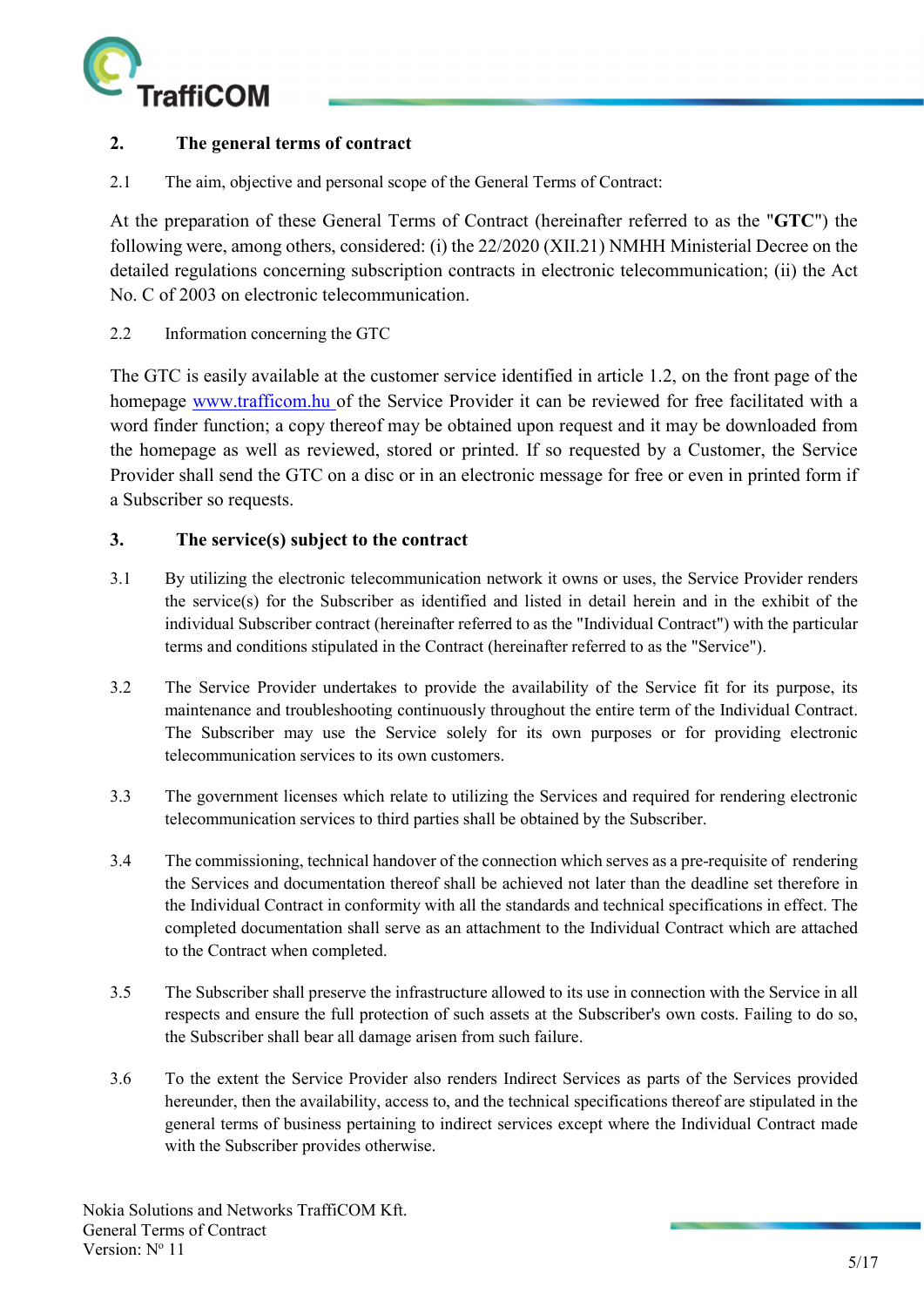

# 2. The general terms of contract

2.1 The aim, objective and personal scope of the General Terms of Contract:

At the preparation of these General Terms of Contract (hereinafter referred to as the "GTC") the following were, among others, considered: (i) the 22/2020 (XII.21) NMHH Ministerial Decree on the detailed regulations concerning subscription contracts in electronic telecommunication; (ii) the Act No. C of 2003 on electronic telecommunication.

2.2 Information concerning the GTC

The GTC is easily available at the customer service identified in article 1.2, on the front page of the homepage www.trafficom.hu of the Service Provider it can be reviewed for free facilitated with a word finder function; a copy thereof may be obtained upon request and it may be downloaded from the homepage as well as reviewed, stored or printed. If so requested by a Customer, the Service Provider shall send the GTC on a disc or in an electronic message for free or even in printed form if a Subscriber so requests.

# 3. The service(s) subject to the contract

- 3.1 By utilizing the electronic telecommunication network it owns or uses, the Service Provider renders the service(s) for the Subscriber as identified and listed in detail herein and in the exhibit of the individual Subscriber contract (hereinafter referred to as the "Individual Contract") with the particular terms and conditions stipulated in the Contract (hereinafter referred to as the "Service").
- 3.2 The Service Provider undertakes to provide the availability of the Service fit for its purpose, its maintenance and troubleshooting continuously throughout the entire term of the Individual Contract. The Subscriber may use the Service solely for its own purposes or for providing electronic telecommunication services to its own customers.
- 3.3 The government licenses which relate to utilizing the Services and required for rendering electronic telecommunication services to third parties shall be obtained by the Subscriber.
- 3.4 The commissioning, technical handover of the connection which serves as a pre-requisite of rendering the Services and documentation thereof shall be achieved not later than the deadline set therefore in the Individual Contract in conformity with all the standards and technical specifications in effect. The completed documentation shall serve as an attachment to the Individual Contract which are attached to the Contract when completed.
- 3.5 The Subscriber shall preserve the infrastructure allowed to its use in connection with the Service in all respects and ensure the full protection of such assets at the Subscriber's own costs. Failing to do so, the Subscriber shall bear all damage arisen from such failure.
- 3.6 To the extent the Service Provider also renders Indirect Services as parts of the Services provided hereunder, then the availability, access to, and the technical specifications thereof are stipulated in the general terms of business pertaining to indirect services except where the Individual Contract made with the Subscriber provides otherwise.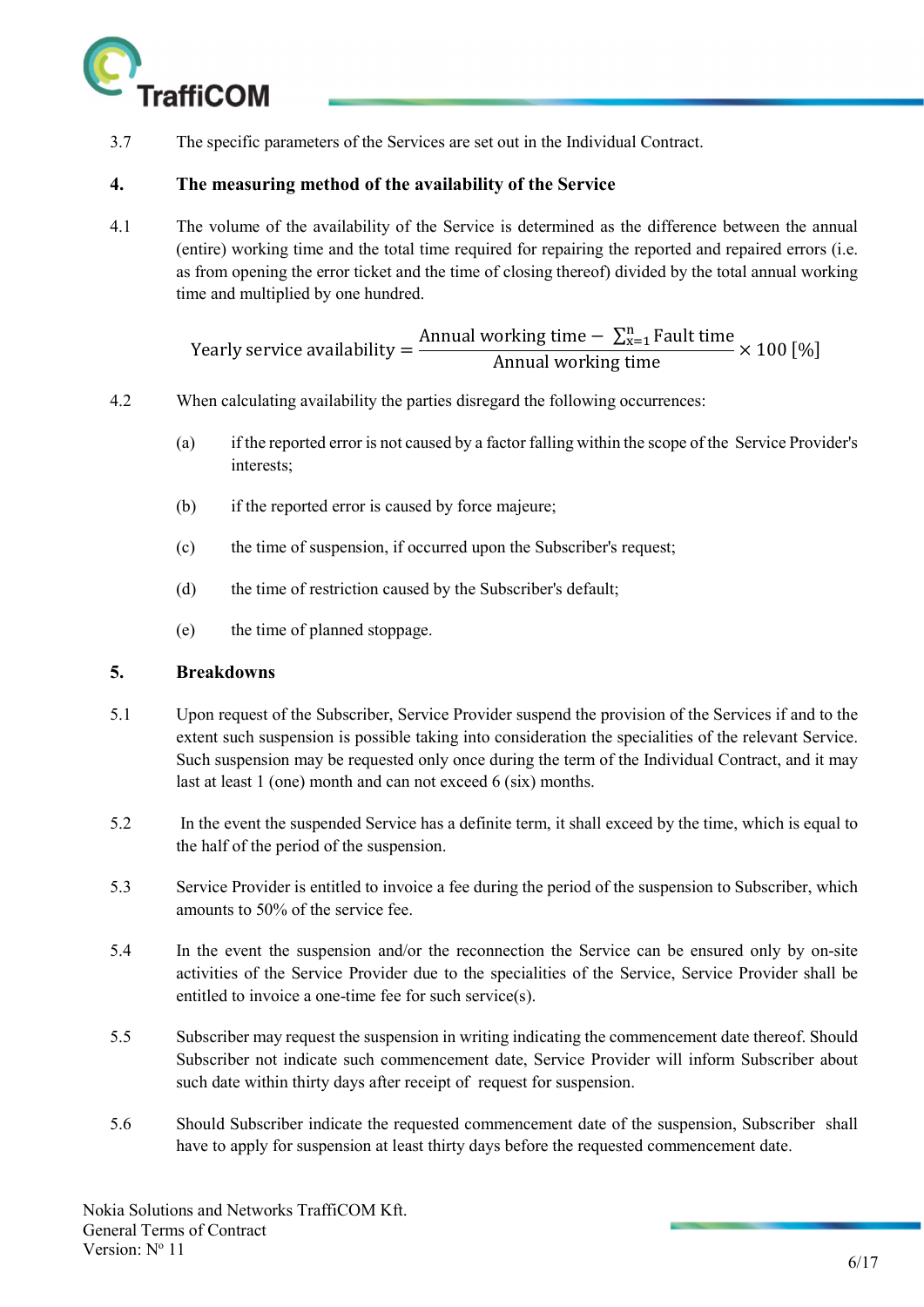

3.7 The specific parameters of the Services are set out in the Individual Contract.

# 4. The measuring method of the availability of the Service

4.1 The volume of the availability of the Service is determined as the difference between the annual (entire) working time and the total time required for repairing the reported and repaired errors (i.e. as from opening the error ticket and the time of closing thereof) divided by the total annual working time and multiplied by one hundred.

> Yearly service availability  $=$   $\frac{1}{2}$ Annual working time  $-\sum_{x=1}^{n}$  Fault time<br>Annual working time<br>Annual working time

- 4.2 When calculating availability the parties disregard the following occurrences:
	- (a) if the reported error is not caused by a factor falling within the scope of the Service Provider's interests;
	- (b) if the reported error is caused by force majeure;
	- (c) the time of suspension, if occurred upon the Subscriber's request;
	- (d) the time of restriction caused by the Subscriber's default;
	- (e) the time of planned stoppage.

# 5. Breakdowns

- 5.1 Upon request of the Subscriber, Service Provider suspend the provision of the Services if and to the extent such suspension is possible taking into consideration the specialities of the relevant Service. Such suspension may be requested only once during the term of the Individual Contract, and it may last at least 1 (one) month and can not exceed 6 (six) months.
- 5.2 In the event the suspended Service has a definite term, it shall exceed by the time, which is equal to the half of the period of the suspension.
- 5.3 Service Provider is entitled to invoice a fee during the period of the suspension to Subscriber, which amounts to 50% of the service fee.
- 5.4 In the event the suspension and/or the reconnection the Service can be ensured only by on-site activities of the Service Provider due to the specialities of the Service, Service Provider shall be entitled to invoice a one-time fee for such service(s).
- 5.5 Subscriber may request the suspension in writing indicating the commencement date thereof. Should Subscriber not indicate such commencement date, Service Provider will inform Subscriber about such date within thirty days after receipt of request for suspension.
- 5.6 Should Subscriber indicate the requested commencement date of the suspension, Subscriber shall have to apply for suspension at least thirty days before the requested commencement date.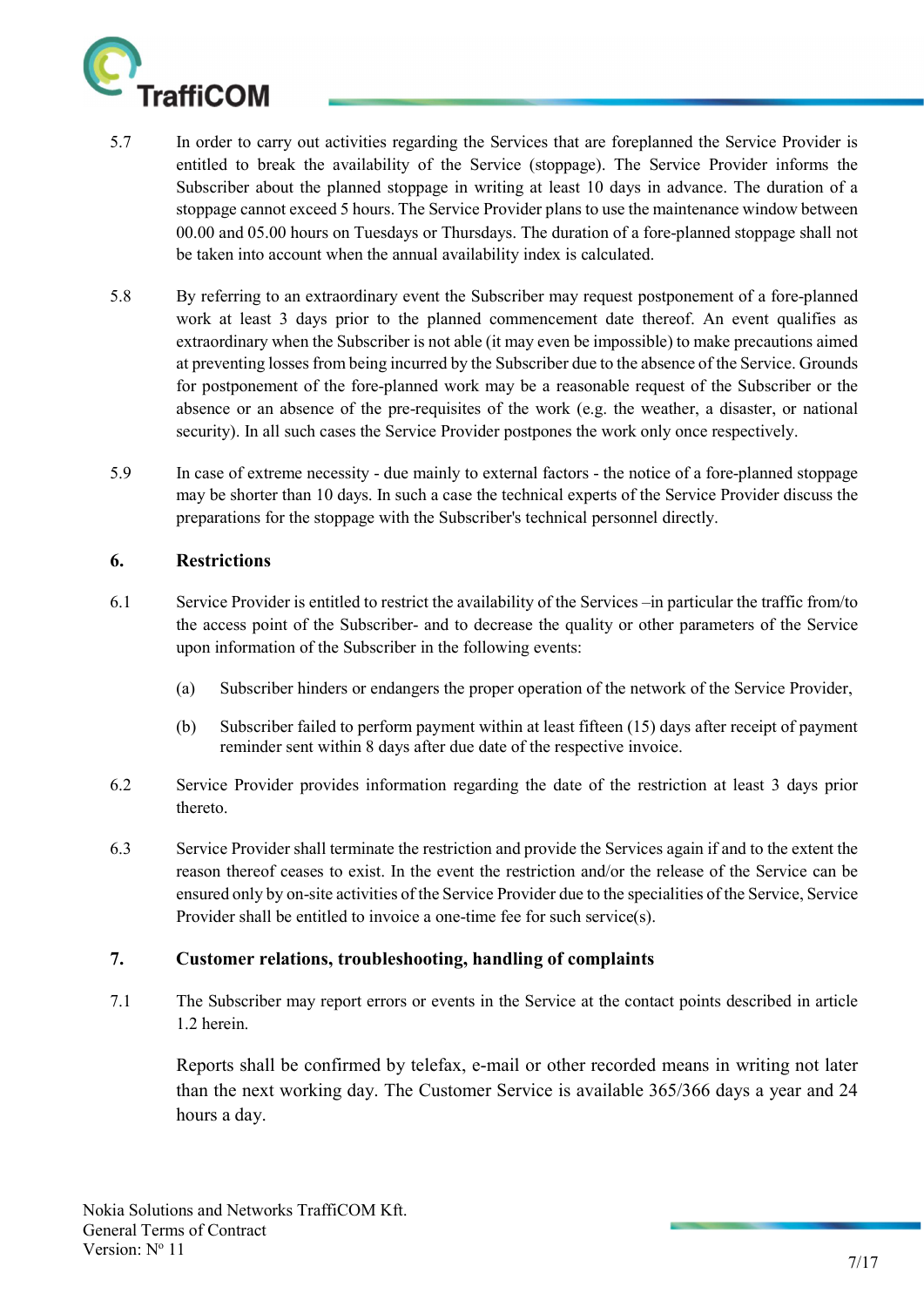

- 5.7 In order to carry out activities regarding the Services that are foreplanned the Service Provider is entitled to break the availability of the Service (stoppage). The Service Provider informs the Subscriber about the planned stoppage in writing at least 10 days in advance. The duration of a stoppage cannot exceed 5 hours. The Service Provider plans to use the maintenance window between 00.00 and 05.00 hours on Tuesdays or Thursdays. The duration of a fore-planned stoppage shall not be taken into account when the annual availability index is calculated.
- 5.8 By referring to an extraordinary event the Subscriber may request postponement of a fore-planned work at least 3 days prior to the planned commencement date thereof. An event qualifies as extraordinary when the Subscriber is not able (it may even be impossible) to make precautions aimed at preventing losses from being incurred by the Subscriber due to the absence of the Service. Grounds for postponement of the fore-planned work may be a reasonable request of the Subscriber or the absence or an absence of the pre-requisites of the work (e.g. the weather, a disaster, or national security). In all such cases the Service Provider postpones the work only once respectively.
- 5.9 In case of extreme necessity due mainly to external factors the notice of a fore-planned stoppage may be shorter than 10 days. In such a case the technical experts of the Service Provider discuss the preparations for the stoppage with the Subscriber's technical personnel directly.

#### 6. Restrictions

- 6.1 Service Provider is entitled to restrict the availability of the Services –in particular the traffic from/to the access point of the Subscriber- and to decrease the quality or other parameters of the Service upon information of the Subscriber in the following events:
	- (a) Subscriber hinders or endangers the proper operation of the network of the Service Provider,
	- (b) Subscriber failed to perform payment within at least fifteen (15) days after receipt of payment reminder sent within 8 days after due date of the respective invoice.
- 6.2 Service Provider provides information regarding the date of the restriction at least 3 days prior thereto.
- 6.3 Service Provider shall terminate the restriction and provide the Services again if and to the extent the reason thereof ceases to exist. In the event the restriction and/or the release of the Service can be ensured only by on-site activities of the Service Provider due to the specialities of the Service, Service Provider shall be entitled to invoice a one-time fee for such service(s).

#### 7. Customer relations, troubleshooting, handling of complaints

7.1 The Subscriber may report errors or events in the Service at the contact points described in article 1.2 herein.

Reports shall be confirmed by telefax, e-mail or other recorded means in writing not later than the next working day. The Customer Service is available 365/366 days a year and 24 hours a day.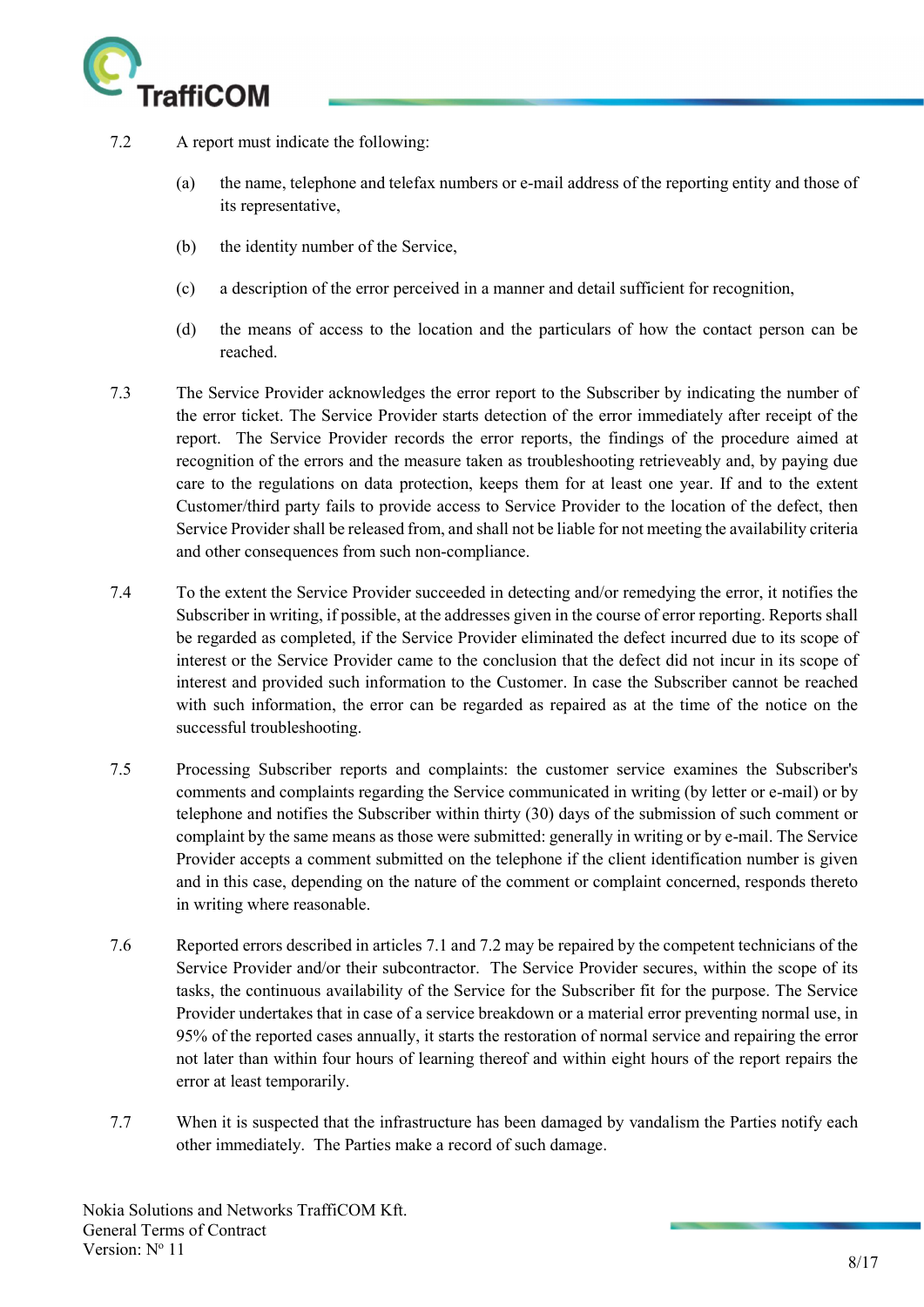

- 7.2 A report must indicate the following:
	- (a) the name, telephone and telefax numbers or e-mail address of the reporting entity and those of its representative,
	- (b) the identity number of the Service,
	- (c) a description of the error perceived in a manner and detail sufficient for recognition,
	- (d) the means of access to the location and the particulars of how the contact person can be reached.
- 7.3 The Service Provider acknowledges the error report to the Subscriber by indicating the number of the error ticket. The Service Provider starts detection of the error immediately after receipt of the report. The Service Provider records the error reports, the findings of the procedure aimed at recognition of the errors and the measure taken as troubleshooting retrieveably and, by paying due care to the regulations on data protection, keeps them for at least one year. If and to the extent Customer/third party fails to provide access to Service Provider to the location of the defect, then Service Provider shall be released from, and shall not be liable for not meeting the availability criteria and other consequences from such non-compliance.
- 7.4 To the extent the Service Provider succeeded in detecting and/or remedying the error, it notifies the Subscriber in writing, if possible, at the addresses given in the course of error reporting. Reports shall be regarded as completed, if the Service Provider eliminated the defect incurred due to its scope of interest or the Service Provider came to the conclusion that the defect did not incur in its scope of interest and provided such information to the Customer. In case the Subscriber cannot be reached with such information, the error can be regarded as repaired as at the time of the notice on the successful troubleshooting.
- 7.5 Processing Subscriber reports and complaints: the customer service examines the Subscriber's comments and complaints regarding the Service communicated in writing (by letter or e-mail) or by telephone and notifies the Subscriber within thirty (30) days of the submission of such comment or complaint by the same means as those were submitted: generally in writing or by e-mail. The Service Provider accepts a comment submitted on the telephone if the client identification number is given and in this case, depending on the nature of the comment or complaint concerned, responds thereto in writing where reasonable.
- 7.6 Reported errors described in articles 7.1 and 7.2 may be repaired by the competent technicians of the Service Provider and/or their subcontractor. The Service Provider secures, within the scope of its tasks, the continuous availability of the Service for the Subscriber fit for the purpose. The Service Provider undertakes that in case of a service breakdown or a material error preventing normal use, in 95% of the reported cases annually, it starts the restoration of normal service and repairing the error not later than within four hours of learning thereof and within eight hours of the report repairs the error at least temporarily.
- 7.7 When it is suspected that the infrastructure has been damaged by vandalism the Parties notify each other immediately. The Parties make a record of such damage.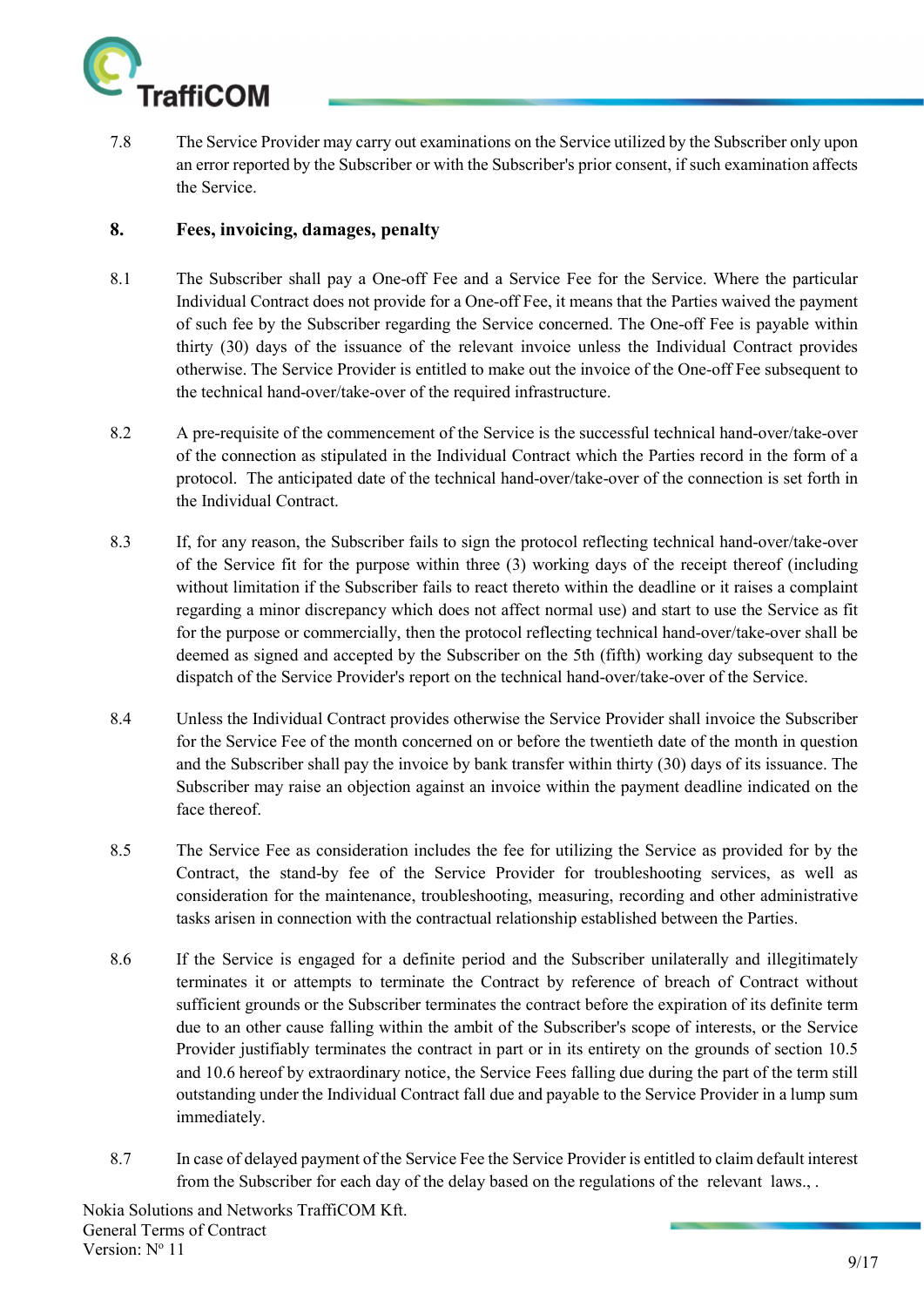

7.8 The Service Provider may carry out examinations on the Service utilized by the Subscriber only upon an error reported by the Subscriber or with the Subscriber's prior consent, if such examination affects the Service.

#### 8. Fees, invoicing, damages, penalty

- 8.1 The Subscriber shall pay a One-off Fee and a Service Fee for the Service. Where the particular Individual Contract does not provide for a One-off Fee, it means that the Parties waived the payment of such fee by the Subscriber regarding the Service concerned. The One-off Fee is payable within thirty (30) days of the issuance of the relevant invoice unless the Individual Contract provides otherwise. The Service Provider is entitled to make out the invoice of the One-off Fee subsequent to the technical hand-over/take-over of the required infrastructure.
- 8.2 A pre-requisite of the commencement of the Service is the successful technical hand-over/take-over of the connection as stipulated in the Individual Contract which the Parties record in the form of a protocol. The anticipated date of the technical hand-over/take-over of the connection is set forth in the Individual Contract.
- 8.3 If, for any reason, the Subscriber fails to sign the protocol reflecting technical hand-over/take-over of the Service fit for the purpose within three (3) working days of the receipt thereof (including without limitation if the Subscriber fails to react thereto within the deadline or it raises a complaint regarding a minor discrepancy which does not affect normal use) and start to use the Service as fit for the purpose or commercially, then the protocol reflecting technical hand-over/take-over shall be deemed as signed and accepted by the Subscriber on the 5th (fifth) working day subsequent to the dispatch of the Service Provider's report on the technical hand-over/take-over of the Service.
- 8.4 Unless the Individual Contract provides otherwise the Service Provider shall invoice the Subscriber for the Service Fee of the month concerned on or before the twentieth date of the month in question and the Subscriber shall pay the invoice by bank transfer within thirty (30) days of its issuance. The Subscriber may raise an objection against an invoice within the payment deadline indicated on the face thereof.
- 8.5 The Service Fee as consideration includes the fee for utilizing the Service as provided for by the Contract, the stand-by fee of the Service Provider for troubleshooting services, as well as consideration for the maintenance, troubleshooting, measuring, recording and other administrative tasks arisen in connection with the contractual relationship established between the Parties.
- 8.6 If the Service is engaged for a definite period and the Subscriber unilaterally and illegitimately terminates it or attempts to terminate the Contract by reference of breach of Contract without sufficient grounds or the Subscriber terminates the contract before the expiration of its definite term due to an other cause falling within the ambit of the Subscriber's scope of interests, or the Service Provider justifiably terminates the contract in part or in its entirety on the grounds of section 10.5 and 10.6 hereof by extraordinary notice, the Service Fees falling due during the part of the term still outstanding under the Individual Contract fall due and payable to the Service Provider in a lump sum immediately.
- 8.7 In case of delayed payment of the Service Fee the Service Provider is entitled to claim default interest from the Subscriber for each day of the delay based on the regulations of the relevant laws., .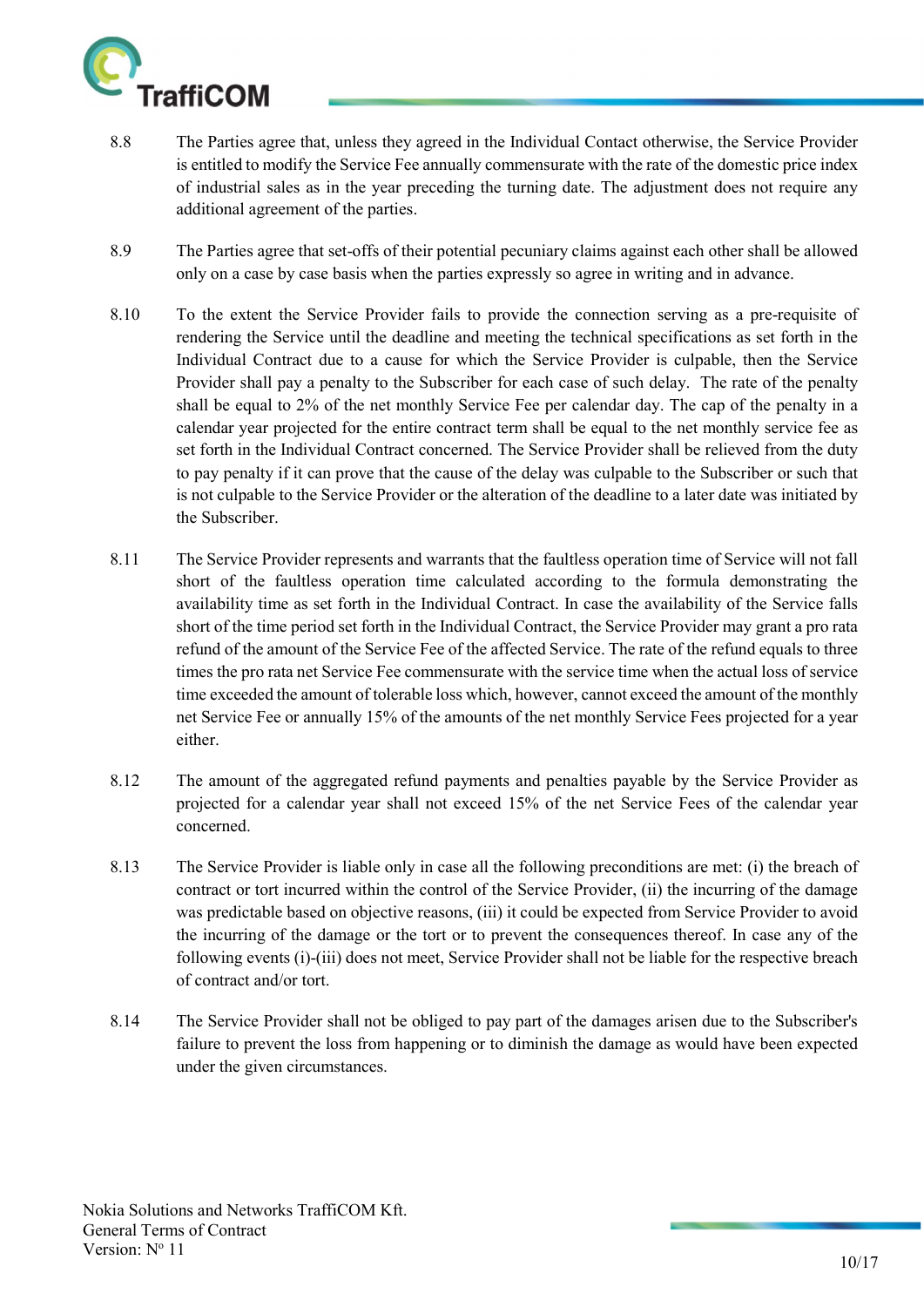

- 8.8 The Parties agree that, unless they agreed in the Individual Contact otherwise, the Service Provider is entitled to modify the Service Fee annually commensurate with the rate of the domestic price index of industrial sales as in the year preceding the turning date. The adjustment does not require any additional agreement of the parties.
- 8.9 The Parties agree that set-offs of their potential pecuniary claims against each other shall be allowed only on a case by case basis when the parties expressly so agree in writing and in advance.
- 8.10 To the extent the Service Provider fails to provide the connection serving as a pre-requisite of rendering the Service until the deadline and meeting the technical specifications as set forth in the Individual Contract due to a cause for which the Service Provider is culpable, then the Service Provider shall pay a penalty to the Subscriber for each case of such delay. The rate of the penalty shall be equal to 2% of the net monthly Service Fee per calendar day. The cap of the penalty in a calendar year projected for the entire contract term shall be equal to the net monthly service fee as set forth in the Individual Contract concerned. The Service Provider shall be relieved from the duty to pay penalty if it can prove that the cause of the delay was culpable to the Subscriber or such that is not culpable to the Service Provider or the alteration of the deadline to a later date was initiated by the Subscriber.
- 8.11 The Service Provider represents and warrants that the faultless operation time of Service will not fall short of the faultless operation time calculated according to the formula demonstrating the availability time as set forth in the Individual Contract. In case the availability of the Service falls short of the time period set forth in the Individual Contract, the Service Provider may grant a pro rata refund of the amount of the Service Fee of the affected Service. The rate of the refund equals to three times the pro rata net Service Fee commensurate with the service time when the actual loss of service time exceeded the amount of tolerable loss which, however, cannot exceed the amount of the monthly net Service Fee or annually 15% of the amounts of the net monthly Service Fees projected for a year either.
- 8.12 The amount of the aggregated refund payments and penalties payable by the Service Provider as projected for a calendar year shall not exceed 15% of the net Service Fees of the calendar year concerned.
- 8.13 The Service Provider is liable only in case all the following preconditions are met: (i) the breach of contract or tort incurred within the control of the Service Provider, (ii) the incurring of the damage was predictable based on objective reasons, (iii) it could be expected from Service Provider to avoid the incurring of the damage or the tort or to prevent the consequences thereof. In case any of the following events (i)-(iii) does not meet, Service Provider shall not be liable for the respective breach of contract and/or tort.
- 8.14 The Service Provider shall not be obliged to pay part of the damages arisen due to the Subscriber's failure to prevent the loss from happening or to diminish the damage as would have been expected under the given circumstances.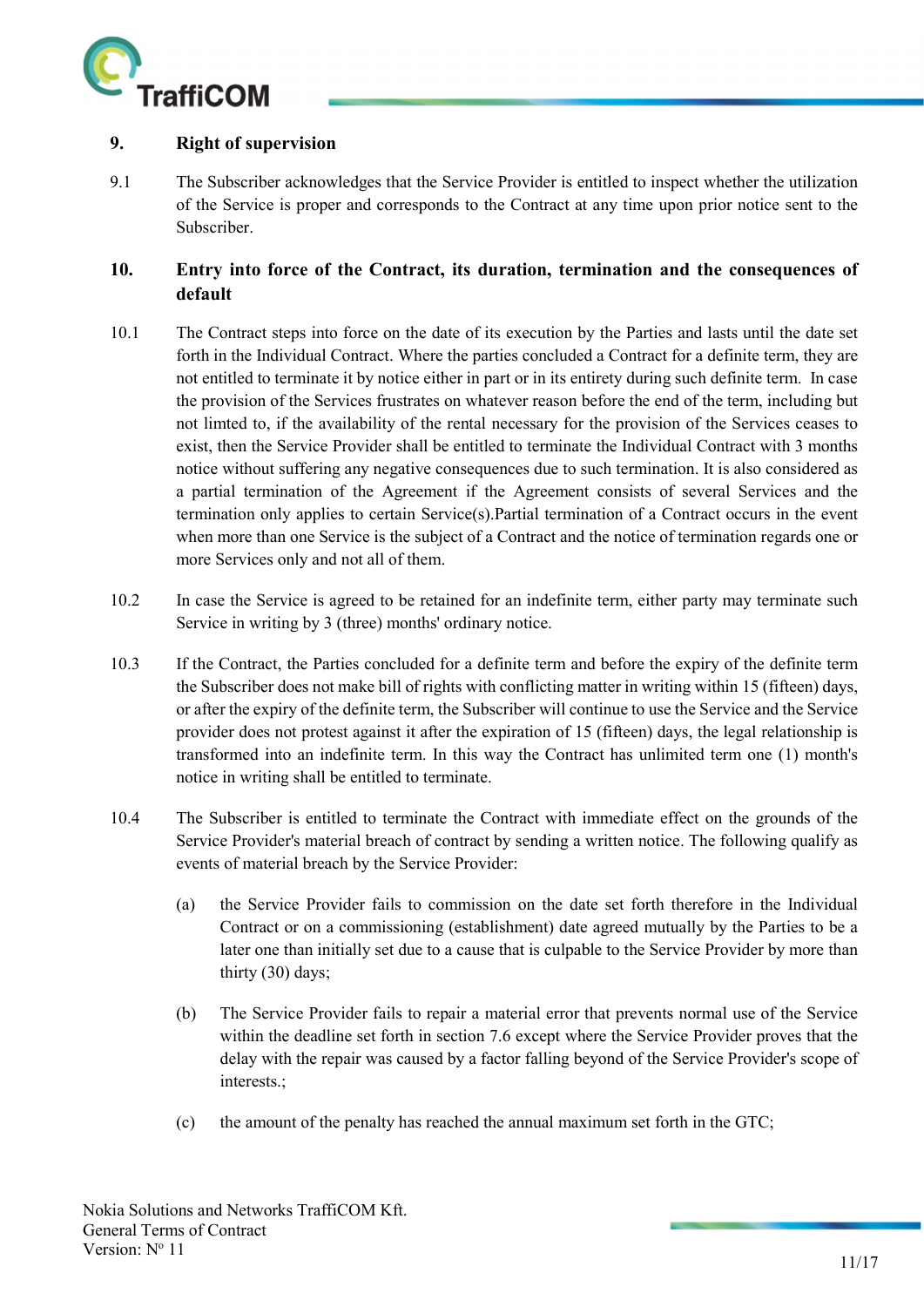

#### 9. Right of supervision

9.1 The Subscriber acknowledges that the Service Provider is entitled to inspect whether the utilization of the Service is proper and corresponds to the Contract at any time upon prior notice sent to the Subscriber.

# 10. Entry into force of the Contract, its duration, termination and the consequences of default

- 10.1 The Contract steps into force on the date of its execution by the Parties and lasts until the date set forth in the Individual Contract. Where the parties concluded a Contract for a definite term, they are not entitled to terminate it by notice either in part or in its entirety during such definite term. In case the provision of the Services frustrates on whatever reason before the end of the term, including but not limted to, if the availability of the rental necessary for the provision of the Services ceases to exist, then the Service Provider shall be entitled to terminate the Individual Contract with 3 months notice without suffering any negative consequences due to such termination. It is also considered as a partial termination of the Agreement if the Agreement consists of several Services and the termination only applies to certain Service(s).Partial termination of a Contract occurs in the event when more than one Service is the subject of a Contract and the notice of termination regards one or more Services only and not all of them.
- 10.2 In case the Service is agreed to be retained for an indefinite term, either party may terminate such Service in writing by 3 (three) months' ordinary notice.
- 10.3 If the Contract, the Parties concluded for a definite term and before the expiry of the definite term the Subscriber does not make bill of rights with conflicting matter in writing within 15 (fifteen) days, or after the expiry of the definite term, the Subscriber will continue to use the Service and the Service provider does not protest against it after the expiration of 15 (fifteen) days, the legal relationship is transformed into an indefinite term. In this way the Contract has unlimited term one (1) month's notice in writing shall be entitled to terminate.
- 10.4 The Subscriber is entitled to terminate the Contract with immediate effect on the grounds of the Service Provider's material breach of contract by sending a written notice. The following qualify as events of material breach by the Service Provider:
	- (a) the Service Provider fails to commission on the date set forth therefore in the Individual Contract or on a commissioning (establishment) date agreed mutually by the Parties to be a later one than initially set due to a cause that is culpable to the Service Provider by more than thirty (30) days;
	- (b) The Service Provider fails to repair a material error that prevents normal use of the Service within the deadline set forth in section 7.6 except where the Service Provider proves that the delay with the repair was caused by a factor falling beyond of the Service Provider's scope of interests.;
	- (c) the amount of the penalty has reached the annual maximum set forth in the GTC;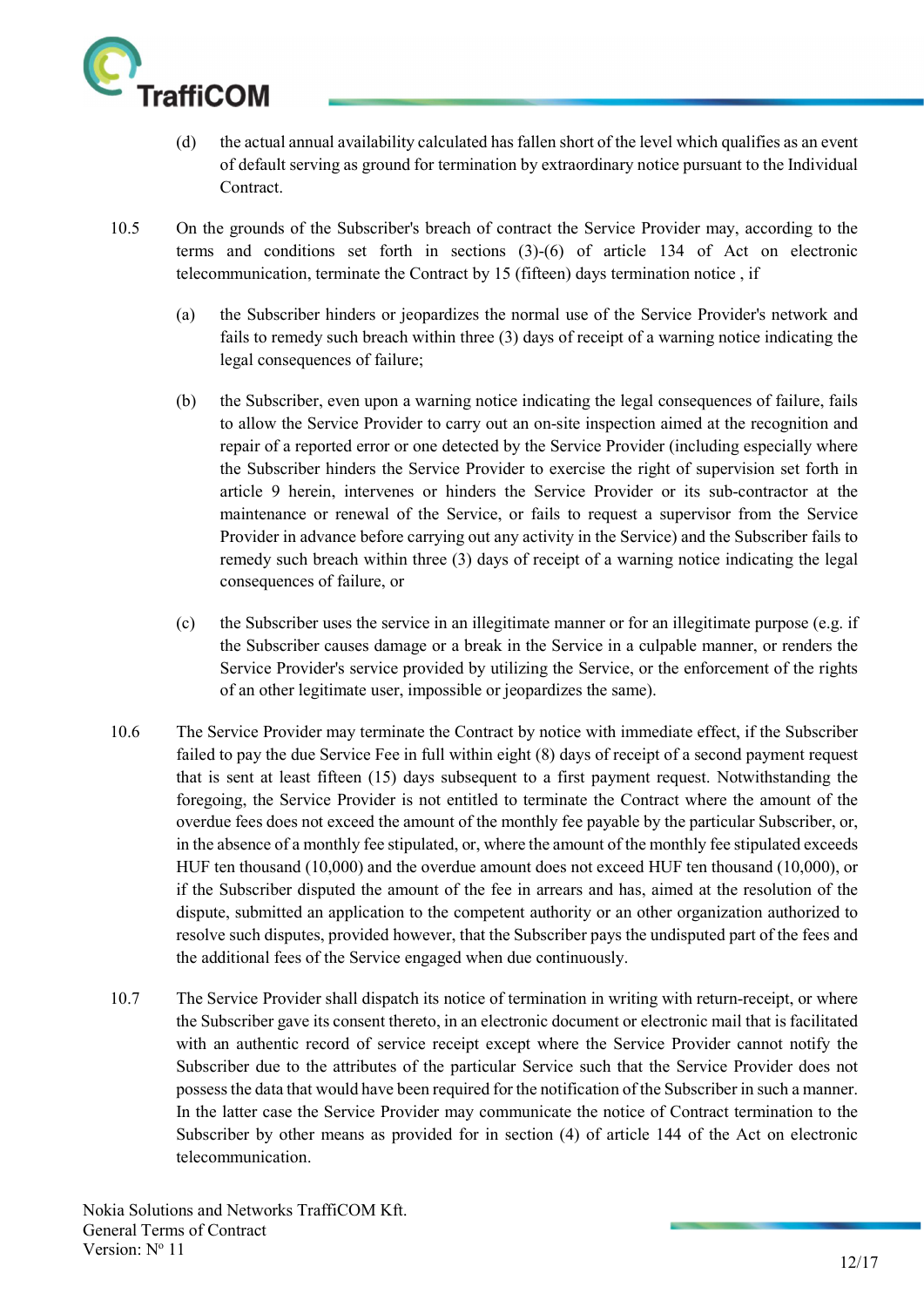

- (d) the actual annual availability calculated has fallen short of the level which qualifies as an event of default serving as ground for termination by extraordinary notice pursuant to the Individual Contract.
- 10.5 On the grounds of the Subscriber's breach of contract the Service Provider may, according to the terms and conditions set forth in sections (3)-(6) of article 134 of Act on electronic telecommunication, terminate the Contract by 15 (fifteen) days termination notice , if
	- (a) the Subscriber hinders or jeopardizes the normal use of the Service Provider's network and fails to remedy such breach within three (3) days of receipt of a warning notice indicating the legal consequences of failure;
	- (b) the Subscriber, even upon a warning notice indicating the legal consequences of failure, fails to allow the Service Provider to carry out an on-site inspection aimed at the recognition and repair of a reported error or one detected by the Service Provider (including especially where the Subscriber hinders the Service Provider to exercise the right of supervision set forth in article 9 herein, intervenes or hinders the Service Provider or its sub-contractor at the maintenance or renewal of the Service, or fails to request a supervisor from the Service Provider in advance before carrying out any activity in the Service) and the Subscriber fails to remedy such breach within three (3) days of receipt of a warning notice indicating the legal consequences of failure, or
	- (c) the Subscriber uses the service in an illegitimate manner or for an illegitimate purpose (e.g. if the Subscriber causes damage or a break in the Service in a culpable manner, or renders the Service Provider's service provided by utilizing the Service, or the enforcement of the rights of an other legitimate user, impossible or jeopardizes the same).
- 10.6 The Service Provider may terminate the Contract by notice with immediate effect, if the Subscriber failed to pay the due Service Fee in full within eight (8) days of receipt of a second payment request that is sent at least fifteen (15) days subsequent to a first payment request. Notwithstanding the foregoing, the Service Provider is not entitled to terminate the Contract where the amount of the overdue fees does not exceed the amount of the monthly fee payable by the particular Subscriber, or, in the absence of a monthly fee stipulated, or, where the amount of the monthly fee stipulated exceeds HUF ten thousand (10,000) and the overdue amount does not exceed HUF ten thousand (10,000), or if the Subscriber disputed the amount of the fee in arrears and has, aimed at the resolution of the dispute, submitted an application to the competent authority or an other organization authorized to resolve such disputes, provided however, that the Subscriber pays the undisputed part of the fees and the additional fees of the Service engaged when due continuously.
- 10.7 The Service Provider shall dispatch its notice of termination in writing with return-receipt, or where the Subscriber gave its consent thereto, in an electronic document or electronic mail that is facilitated with an authentic record of service receipt except where the Service Provider cannot notify the Subscriber due to the attributes of the particular Service such that the Service Provider does not possess the data that would have been required for the notification of the Subscriber in such a manner. In the latter case the Service Provider may communicate the notice of Contract termination to the Subscriber by other means as provided for in section (4) of article 144 of the Act on electronic telecommunication.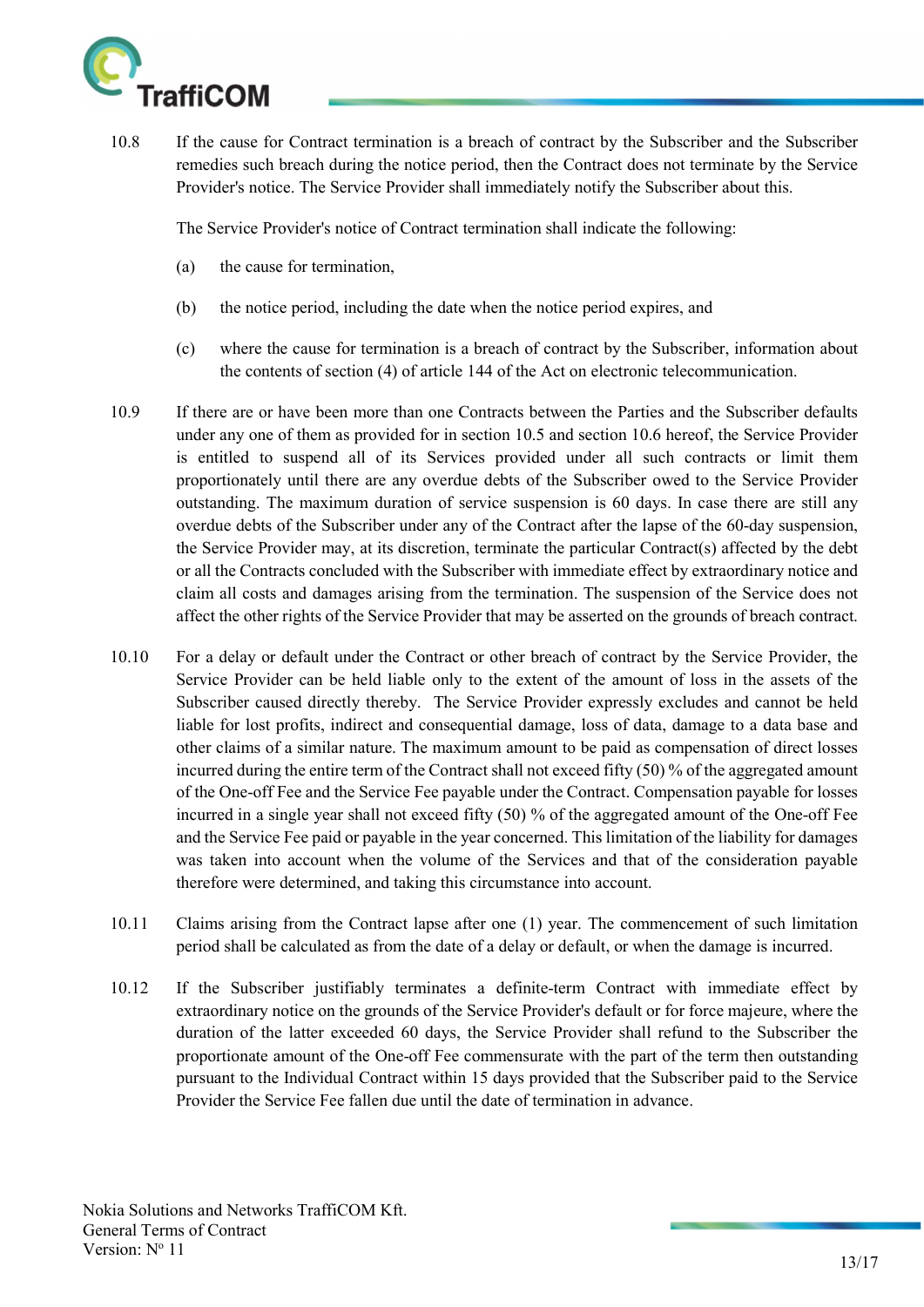

10.8 If the cause for Contract termination is a breach of contract by the Subscriber and the Subscriber remedies such breach during the notice period, then the Contract does not terminate by the Service Provider's notice. The Service Provider shall immediately notify the Subscriber about this.

The Service Provider's notice of Contract termination shall indicate the following:

- (a) the cause for termination,
- (b) the notice period, including the date when the notice period expires, and
- (c) where the cause for termination is a breach of contract by the Subscriber, information about the contents of section (4) of article 144 of the Act on electronic telecommunication.
- 10.9 If there are or have been more than one Contracts between the Parties and the Subscriber defaults under any one of them as provided for in section 10.5 and section 10.6 hereof, the Service Provider is entitled to suspend all of its Services provided under all such contracts or limit them proportionately until there are any overdue debts of the Subscriber owed to the Service Provider outstanding. The maximum duration of service suspension is 60 days. In case there are still any overdue debts of the Subscriber under any of the Contract after the lapse of the 60-day suspension, the Service Provider may, at its discretion, terminate the particular Contract(s) affected by the debt or all the Contracts concluded with the Subscriber with immediate effect by extraordinary notice and claim all costs and damages arising from the termination. The suspension of the Service does not affect the other rights of the Service Provider that may be asserted on the grounds of breach contract.
- 10.10 For a delay or default under the Contract or other breach of contract by the Service Provider, the Service Provider can be held liable only to the extent of the amount of loss in the assets of the Subscriber caused directly thereby. The Service Provider expressly excludes and cannot be held liable for lost profits, indirect and consequential damage, loss of data, damage to a data base and other claims of a similar nature. The maximum amount to be paid as compensation of direct losses incurred during the entire term of the Contract shall not exceed fifty (50) % of the aggregated amount of the One-off Fee and the Service Fee payable under the Contract. Compensation payable for losses incurred in a single year shall not exceed fifty (50) % of the aggregated amount of the One-off Fee and the Service Fee paid or payable in the year concerned. This limitation of the liability for damages was taken into account when the volume of the Services and that of the consideration payable therefore were determined, and taking this circumstance into account.
- 10.11 Claims arising from the Contract lapse after one (1) year. The commencement of such limitation period shall be calculated as from the date of a delay or default, or when the damage is incurred.
- 10.12 If the Subscriber justifiably terminates a definite-term Contract with immediate effect by extraordinary notice on the grounds of the Service Provider's default or for force majeure, where the duration of the latter exceeded 60 days, the Service Provider shall refund to the Subscriber the proportionate amount of the One-off Fee commensurate with the part of the term then outstanding pursuant to the Individual Contract within 15 days provided that the Subscriber paid to the Service Provider the Service Fee fallen due until the date of termination in advance.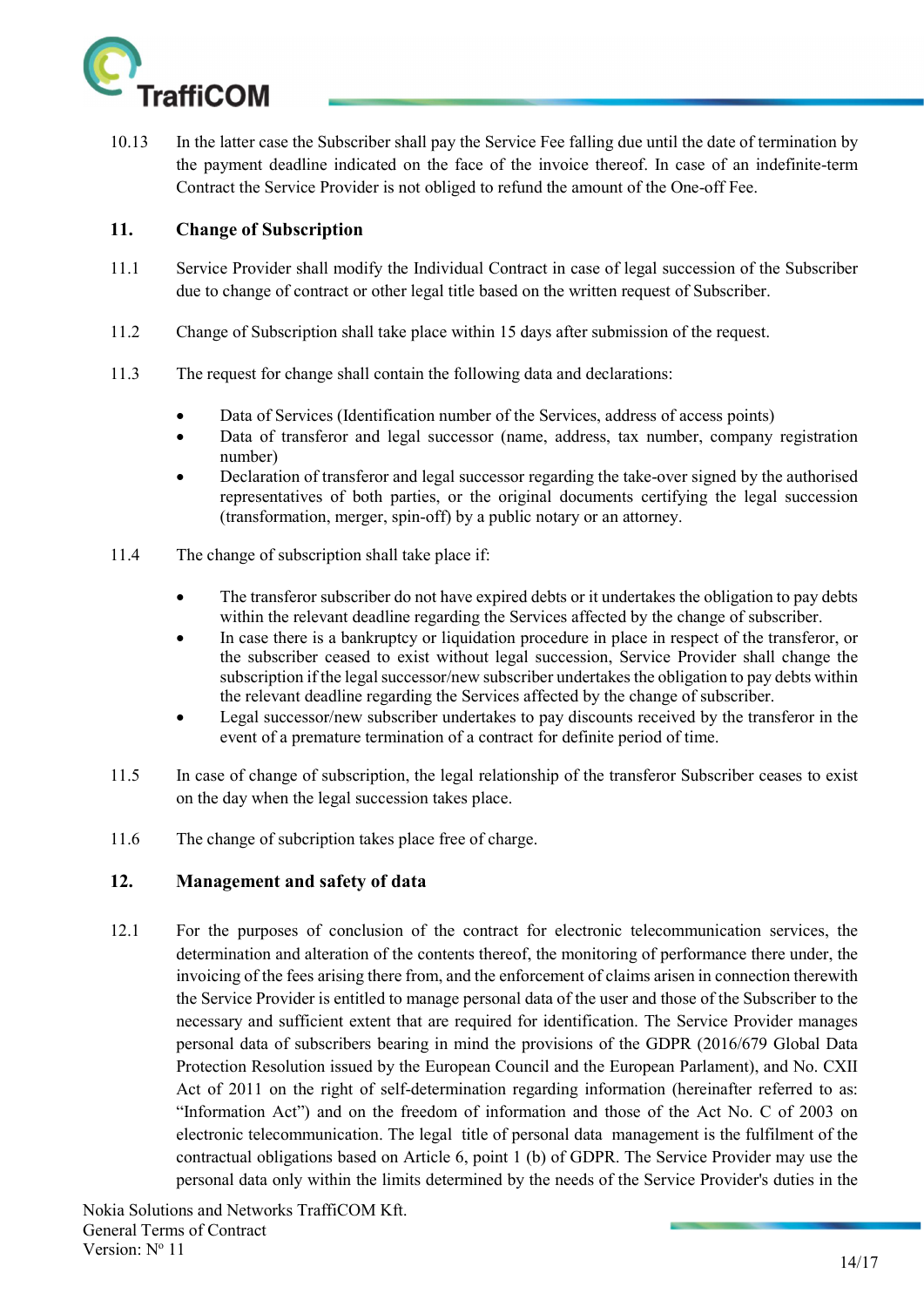

10.13 In the latter case the Subscriber shall pay the Service Fee falling due until the date of termination by the payment deadline indicated on the face of the invoice thereof. In case of an indefinite-term Contract the Service Provider is not obliged to refund the amount of the One-off Fee.

#### 11. Change of Subscription

- 11.1 Service Provider shall modify the Individual Contract in case of legal succession of the Subscriber due to change of contract or other legal title based on the written request of Subscriber.
- 11.2 Change of Subscription shall take place within 15 days after submission of the request.
- 11.3 The request for change shall contain the following data and declarations:
	- Data of Services (Identification number of the Services, address of access points)
	- Data of transferor and legal successor (name, address, tax number, company registration number)
	- Declaration of transferor and legal successor regarding the take-over signed by the authorised representatives of both parties, or the original documents certifying the legal succession (transformation, merger, spin-off) by a public notary or an attorney.
- 11.4 The change of subscription shall take place if:
	- The transferor subscriber do not have expired debts or it undertakes the obligation to pay debts within the relevant deadline regarding the Services affected by the change of subscriber.
	- In case there is a bankruptcy or liquidation procedure in place in respect of the transferor, or the subscriber ceased to exist without legal succession, Service Provider shall change the subscription if the legal successor/new subscriber undertakes the obligation to pay debts within the relevant deadline regarding the Services affected by the change of subscriber.
	- Legal successor/new subscriber undertakes to pay discounts received by the transferor in the event of a premature termination of a contract for definite period of time.
- 11.5 In case of change of subscription, the legal relationship of the transferor Subscriber ceases to exist on the day when the legal succession takes place.
- 11.6 The change of subcription takes place free of charge.

# 12. Management and safety of data

12.1 For the purposes of conclusion of the contract for electronic telecommunication services, the determination and alteration of the contents thereof, the monitoring of performance there under, the invoicing of the fees arising there from, and the enforcement of claims arisen in connection therewith the Service Provider is entitled to manage personal data of the user and those of the Subscriber to the necessary and sufficient extent that are required for identification. The Service Provider manages personal data of subscribers bearing in mind the provisions of the GDPR (2016/679 Global Data Protection Resolution issued by the European Council and the European Parlament), and No. CXII Act of 2011 on the right of self-determination regarding information (hereinafter referred to as: "Information Act") and on the freedom of information and those of the Act No. C of 2003 on electronic telecommunication. The legal title of personal data management is the fulfilment of the contractual obligations based on Article 6, point 1 (b) of GDPR. The Service Provider may use the personal data only within the limits determined by the needs of the Service Provider's duties in the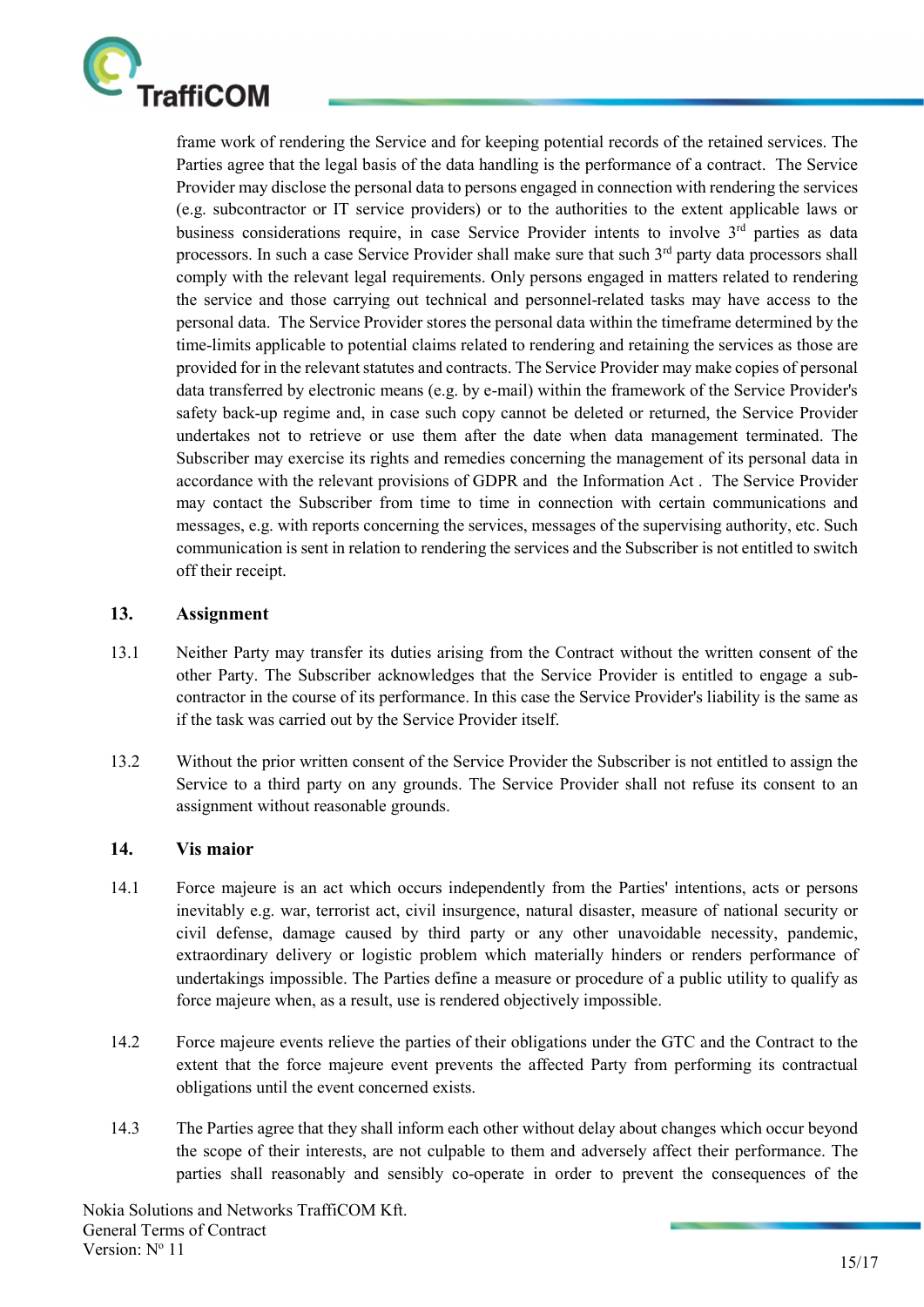

frame work of rendering the Service and for keeping potential records of the retained services. The Parties agree that the legal basis of the data handling is the performance of a contract. The Service Provider may disclose the personal data to persons engaged in connection with rendering the services (e.g. subcontractor or IT service providers) or to the authorities to the extent applicable laws or business considerations require, in case Service Provider intents to involve 3<sup>rd</sup> parties as data processors. In such a case Service Provider shall make sure that such  $3<sup>rd</sup>$  party data processors shall comply with the relevant legal requirements. Only persons engaged in matters related to rendering the service and those carrying out technical and personnel-related tasks may have access to the personal data. The Service Provider stores the personal data within the timeframe determined by the time-limits applicable to potential claims related to rendering and retaining the services as those are provided for in the relevant statutes and contracts. The Service Provider may make copies of personal data transferred by electronic means (e.g. by e-mail) within the framework of the Service Provider's safety back-up regime and, in case such copy cannot be deleted or returned, the Service Provider undertakes not to retrieve or use them after the date when data management terminated. The Subscriber may exercise its rights and remedies concerning the management of its personal data in accordance with the relevant provisions of GDPR and the Information Act . The Service Provider may contact the Subscriber from time to time in connection with certain communications and messages, e.g. with reports concerning the services, messages of the supervising authority, etc. Such communication is sent in relation to rendering the services and the Subscriber is not entitled to switch off their receipt.

#### 13. Assignment

- 13.1 Neither Party may transfer its duties arising from the Contract without the written consent of the other Party. The Subscriber acknowledges that the Service Provider is entitled to engage a subcontractor in the course of its performance. In this case the Service Provider's liability is the same as if the task was carried out by the Service Provider itself.
- 13.2 Without the prior written consent of the Service Provider the Subscriber is not entitled to assign the Service to a third party on any grounds. The Service Provider shall not refuse its consent to an assignment without reasonable grounds.

#### 14. Vis maior

- 14.1 Force majeure is an act which occurs independently from the Parties' intentions, acts or persons inevitably e.g. war, terrorist act, civil insurgence, natural disaster, measure of national security or civil defense, damage caused by third party or any other unavoidable necessity, pandemic, extraordinary delivery or logistic problem which materially hinders or renders performance of undertakings impossible. The Parties define a measure or procedure of a public utility to qualify as force majeure when, as a result, use is rendered objectively impossible.
- 14.2 Force majeure events relieve the parties of their obligations under the GTC and the Contract to the extent that the force majeure event prevents the affected Party from performing its contractual obligations until the event concerned exists.
- 14.3 The Parties agree that they shall inform each other without delay about changes which occur beyond the scope of their interests, are not culpable to them and adversely affect their performance. The parties shall reasonably and sensibly co-operate in order to prevent the consequences of the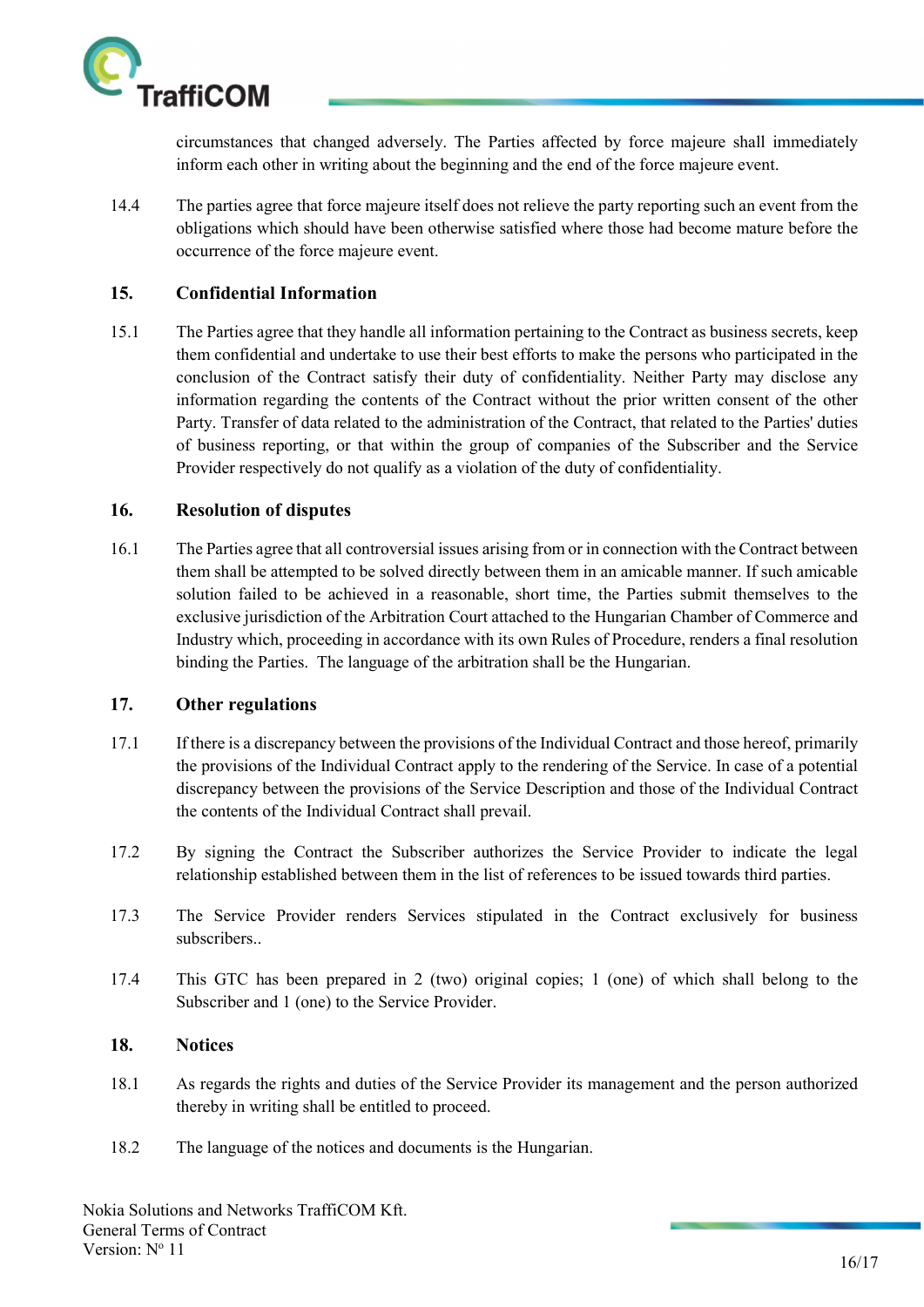

circumstances that changed adversely. The Parties affected by force majeure shall immediately inform each other in writing about the beginning and the end of the force majeure event.

14.4 The parties agree that force majeure itself does not relieve the party reporting such an event from the obligations which should have been otherwise satisfied where those had become mature before the occurrence of the force majeure event.

#### 15. Confidential Information

15.1 The Parties agree that they handle all information pertaining to the Contract as business secrets, keep them confidential and undertake to use their best efforts to make the persons who participated in the conclusion of the Contract satisfy their duty of confidentiality. Neither Party may disclose any information regarding the contents of the Contract without the prior written consent of the other Party. Transfer of data related to the administration of the Contract, that related to the Parties' duties of business reporting, or that within the group of companies of the Subscriber and the Service Provider respectively do not qualify as a violation of the duty of confidentiality.

#### 16. Resolution of disputes

16.1 The Parties agree that all controversial issues arising from or in connection with the Contract between them shall be attempted to be solved directly between them in an amicable manner. If such amicable solution failed to be achieved in a reasonable, short time, the Parties submit themselves to the exclusive jurisdiction of the Arbitration Court attached to the Hungarian Chamber of Commerce and Industry which, proceeding in accordance with its own Rules of Procedure, renders a final resolution binding the Parties. The language of the arbitration shall be the Hungarian.

#### 17. Other regulations

- 17.1 If there is a discrepancy between the provisions of the Individual Contract and those hereof, primarily the provisions of the Individual Contract apply to the rendering of the Service. In case of a potential discrepancy between the provisions of the Service Description and those of the Individual Contract the contents of the Individual Contract shall prevail.
- 17.2 By signing the Contract the Subscriber authorizes the Service Provider to indicate the legal relationship established between them in the list of references to be issued towards third parties.
- 17.3 The Service Provider renders Services stipulated in the Contract exclusively for business subscribers..
- 17.4 This GTC has been prepared in 2 (two) original copies; 1 (one) of which shall belong to the Subscriber and 1 (one) to the Service Provider.

#### 18. Notices

- 18.1 As regards the rights and duties of the Service Provider its management and the person authorized thereby in writing shall be entitled to proceed.
- 18.2 The language of the notices and documents is the Hungarian.